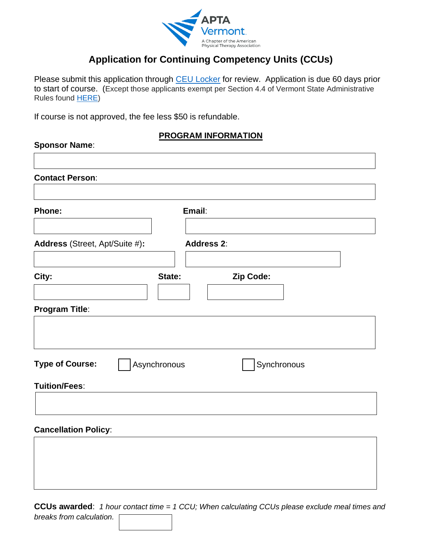

# **Application for Continuing Competency Units (CCUs)**

Please submit this application through [CEU Locker](https://ceulocker.com/index.cfm) for review. Application is due 60 days prior to start of course. (Except those applicants exempt per Section 4.4 of Vermont State Administrative Rules found [HERE\)](https://sos.vermont.gov/physical-therapists/statutes-rules-resources/)

If course is not approved, the fee less \$50 is refundable.

## **PROGRAM INFORMATION**

### **Sponsor Name**:

| <b>Contact Person:</b>         |                   |             |  |
|--------------------------------|-------------------|-------------|--|
| Phone:                         | Email:            |             |  |
| Address (Street, Apt/Suite #): | <b>Address 2:</b> |             |  |
| City:                          | State:            | Zip Code:   |  |
| <b>Program Title:</b>          |                   |             |  |
| <b>Type of Course:</b>         | Asynchronous      | Synchronous |  |
| <b>Tuition/Fees:</b>           |                   |             |  |
| <b>Cancellation Policy:</b>    |                   |             |  |
|                                |                   |             |  |
|                                |                   |             |  |

**CCUs awarded**: *1 hour contact time = 1 CCU; When calculating CCUs please exclude meal times and*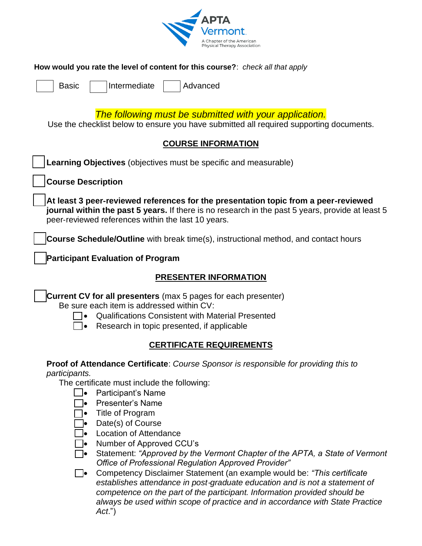

#### **How would you rate the level of content for this course?**: *check all that apply*

asic | |Intermediate | |Advanced

## *The following must be submitted with your application.*

Use the checklist below to ensure you have submitted all required supporting documents.

## **COURSE INFORMATION**

| Learning Objectives (objectives must be specific and measurable)                                                                                                                                                                              |  |  |
|-----------------------------------------------------------------------------------------------------------------------------------------------------------------------------------------------------------------------------------------------|--|--|
| <b>Course Description</b>                                                                                                                                                                                                                     |  |  |
| At least 3 peer-reviewed references for the presentation topic from a peer-reviewed<br>journal within the past 5 years. If there is no research in the past 5 years, provide at least 5<br>peer-reviewed references within the last 10 years. |  |  |
| Course Schedule/Outline with break time(s), instructional method, and contact hours                                                                                                                                                           |  |  |
| <b>Participant Evaluation of Program</b>                                                                                                                                                                                                      |  |  |
| <b>PRESENTER INFORMATION</b>                                                                                                                                                                                                                  |  |  |
| <b>Current CV for all presenters</b> (max 5 pages for each presenter)<br>Be sure each item is addressed within CV:<br><b>Qualifications Consistent with Material Presented</b><br>Research in topic presented, if applicable                  |  |  |
| <b>CERTIFICATE REQUIREMENTS</b>                                                                                                                                                                                                               |  |  |
| <b>Proof of Attendance Certificate:</b> Course Sponsor is responsible for providing this to<br>participants.                                                                                                                                  |  |  |

The certificate must include the following:

- Participant's Name
- Presenter's Name
- Title of Program
- **•** Date(s) of Course
- Location of Attendance
- Number of Approved CCU's
- Statement: *"Approved by the Vermont Chapter of the APTA, a State of Vermont Office of Professional Regulation Approved Provider"*
- Competency Disclaimer Statement (an example would be: *"This certificate establishes attendance in post*‐*graduate education and is not a statement of competence on the part of the participant. Information provided should be always be used within scope of practice and in accordance with State Practice Act*.")